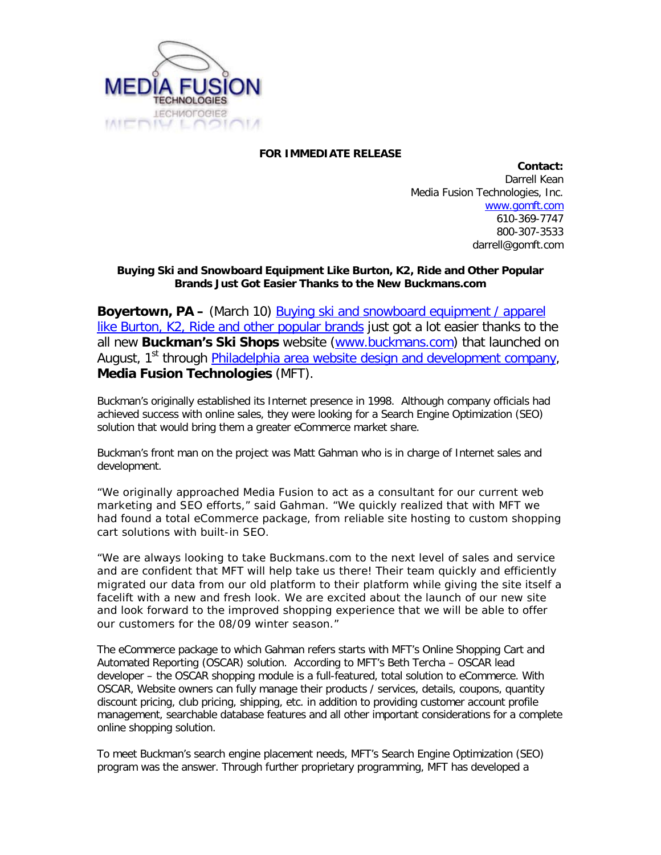

## **FOR IMMEDIATE RELEASE**

**Contact:** Darrell Kean Media Fusion Technologies, Inc. [www.gomft.com](http://www.gomft.com/) 610-369-7747 800-307-3533 darrell@gomft.com

## **Buying Ski and Snowboard Equipment Like Burton, K2, Ride and Other Popular Brands Just Got Easier Thanks to the New Buckmans.com**

**Boyertown, PA –** (March 10) [Buying ski and snowboard](http://www.buckmans.com/) equipment / apparel [like Burton, K2, Ride and other popular brands](http://www.buckmans.com/) just got a lot easier thanks to the all new **Buckman's Ski Shops** website [\(www.buckmans.com\)](http://www.buckmans.com/) that launched on August, 1<sup>st</sup> through [Philadelphia area website design and development company,](http://www.gomft.com/) **Media Fusion Technologies** (MFT).

Buckman's originally established its Internet presence in 1998. Although company officials had achieved success with online sales, they were looking for a Search Engine Optimization (SEO) solution that would bring them a greater eCommerce market share.

Buckman's front man on the project was Matt Gahman who is in charge of Internet sales and development.

"We originally approached Media Fusion to act as a consultant for our current web marketing and SEO efforts," said Gahman. "We quickly realized that with MFT we had found a total eCommerce package, from reliable site hosting to custom shopping cart solutions with built-in SEO.

"We are always looking to take Buckmans.com to the next level of sales and service and are confident that MFT will help take us there! Their team quickly and efficiently migrated our data from our old platform to their platform while giving the site itself a facelift with a new and fresh look. We are excited about the launch of our new site and look forward to the improved shopping experience that we will be able to offer our customers for the 08/09 winter season."

The eCommerce package to which Gahman refers starts with MFT's Online Shopping Cart and Automated Reporting (OSCAR) solution. According to MFT's Beth Tercha – OSCAR lead developer – the OSCAR shopping module is a full-featured, total solution to eCommerce. With OSCAR, Website owners can fully manage their products / services, details, coupons, quantity discount pricing, club pricing, shipping, etc. in addition to providing customer account profile management, searchable database features and all other important considerations for a complete online shopping solution.

To meet Buckman's search engine placement needs, MFT's Search Engine Optimization (SEO) program was the answer. Through further proprietary programming, MFT has developed a